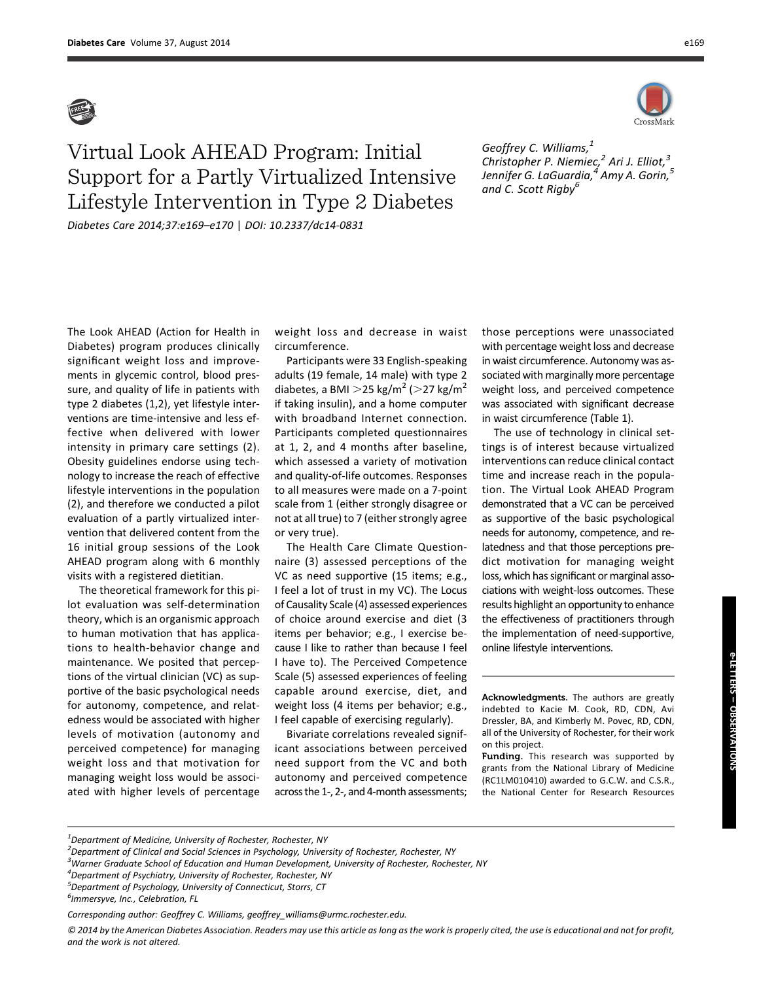

## Virtual Look AHEAD Program: Initial Support for a Partly Virtualized Intensive Lifestyle Intervention in Type 2 Diabetes Diabetes Care 2014;37:e169–e170 | DOI: 10.2337/dc14-0831

Geoffrey C. Williams, $<sup>1</sup>$ </sup> Christopher P. Niemiec, $^2$  Ari J. Elliot, $^3$ Jennifer G. LaGuardia, $^{4}$  Amy A. Gorin, $^{5}$ and C. Scott Rigby<sup>6</sup>

The Look AHEAD (Action for Health in Diabetes) program produces clinically significant weight loss and improvements in glycemic control, blood pressure, and quality of life in patients with type 2 diabetes (1,2), yet lifestyle interventions are time-intensive and less effective when delivered with lower intensity in primary care settings (2). Obesity guidelines endorse using technology to increase the reach of effective lifestyle interventions in the population (2), and therefore we conducted a pilot evaluation of a partly virtualized intervention that delivered content from the 16 initial group sessions of the Look AHEAD program along with 6 monthly visits with a registered dietitian.

The theoretical framework for this pilot evaluation was self-determination theory, which is an organismic approach to human motivation that has applications to health-behavior change and maintenance. We posited that perceptions of the virtual clinician (VC) as supportive of the basic psychological needs for autonomy, competence, and relatedness would be associated with higher levels of motivation (autonomy and perceived competence) for managing weight loss and that motivation for managing weight loss would be associated with higher levels of percentage

weight loss and decrease in waist circumference.

Participants were 33 English-speaking adults (19 female, 14 male) with type 2 diabetes, a BMI  $>$  25 kg/m<sup>2</sup> ( $>$  27 kg/m<sup>2</sup> if taking insulin), and a home computer with broadband Internet connection. Participants completed questionnaires at 1, 2, and 4 months after baseline, which assessed a variety of motivation and quality-of-life outcomes. Responses to all measures were made on a 7-point scale from 1 (either strongly disagree or not at all true) to 7 (either strongly agree or very true).

The Health Care Climate Questionnaire (3) assessed perceptions of the VC as need supportive (15 items; e.g., I feel a lot of trust in my VC). The Locus of Causality Scale (4) assessed experiences of choice around exercise and diet (3 items per behavior; e.g., I exercise because I like to rather than because I feel I have to). The Perceived Competence Scale (5) assessed experiences of feeling capable around exercise, diet, and weight loss (4 items per behavior; e.g., I feel capable of exercising regularly).

Bivariate correlations revealed significant associations between perceived need support from the VC and both autonomy and perceived competence across the 1-, 2-, and 4-month assessments; those perceptions were unassociated with percentage weight loss and decrease in waist circumference. Autonomy was associated with marginally more percentage weight loss, and perceived competence was associated with significant decrease in waist circumference (Table 1).

The use of technology in clinical settings is of interest because virtualized interventions can reduce clinical contact time and increase reach in the population. The Virtual Look AHEAD Program demonstrated that a VC can be perceived as supportive of the basic psychological needs for autonomy, competence, and relatedness and that those perceptions predict motivation for managing weight loss, which has significant or marginal associations with weight-loss outcomes. These results highlight an opportunity to enhance the effectiveness of practitioners through the implementation of need-supportive, online lifestyle interventions.

Acknowledgments. The authors are greatly indebted to Kacie M. Cook, RD, CDN, Avi Dressler, BA, and Kimberly M. Povec, RD, CDN, all of the University of Rochester, for their work on this project.

Funding. This research was supported by grants from the National Library of Medicine (RC1LM010410) awarded to G.C.W. and C.S.R., the National Center for Research Resources

4 Department of Psychiatry, University of Rochester, Rochester, NY

e-LETTERS e-LETTERS – OBSERVATIONS OBSERVATIONS

 $^{\text{1}}$ Department of Medicine, University of Rochester, Rochester, NY

<sup>&</sup>lt;sup>2</sup> Department of Clinical and Social Sciences in Psychology, University of Rochester, Rochester, NY

<sup>&</sup>lt;sup>3</sup>Warner Graduate School of Education and Human Development, University of Rochester, Rochester, NY

<sup>&</sup>lt;sup>5</sup>Department of Psychology, University of Connecticut, Storrs, CT

<sup>&</sup>lt;sup>6</sup> Immersyve, Inc., Celebration, FL

Corresponding author: Geoffrey C. Williams, geoffrey\_williams@urmc.rochester.edu.

<sup>© 2014</sup> by the American Diabetes Association. Readers may use this article as long as the work is properly cited, the use is educational and not for profit, and the work is not altered.